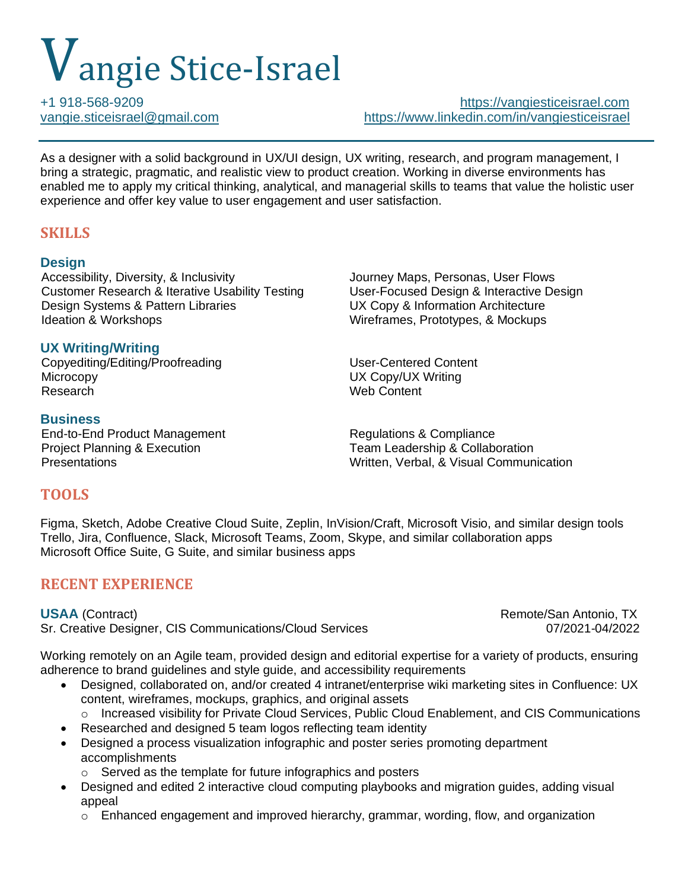# Vangie Stice-Israel

+1 918-568-9209 [https://vangiesticeisrael.com](https://vangiesticeisrael.com/) [vangie.sticeisrael@gmail.com](mailto:vangie.sticeisrael@gmail.com) <https://www.linkedin.com/in/vangiesticeisrael>

As a designer with a solid background in UX/UI design, UX writing, research, and program management, I bring a strategic, pragmatic, and realistic view to product creation. Working in diverse environments has enabled me to apply my critical thinking, analytical, and managerial skills to teams that value the holistic user experience and offer key value to user engagement and user satisfaction.

# **SKILLS**

### **Design**

Accessibility, Diversity, & Inclusivity **State State State State Journey Maps, Personas, User Flows** Customer Research & Iterative Usability Testing User-Focused Design & Interactive Design Design Systems & Pattern Libraries UX Copy & Information Architecture Ideation & Workshops Wireframes, Prototypes, & Mockups

## **UX Writing/Writing**

Copyediting/Editing/Proofreading User-Centered Content Microcopy UX Copy/UX Writing

### **Business**

End-to-End Product Management Regulations & Compliance

**Web Content** 

Project Planning & Execution Team Leadership & Collaboration Presentations Written, Verbal, & Visual Communication

# **TOOLS**

Figma, Sketch, Adobe Creative Cloud Suite, Zeplin, InVision/Craft, Microsoft Visio, and similar design tools Trello, Jira, Confluence, Slack, Microsoft Teams, Zoom, Skype, and similar collaboration apps Microsoft Office Suite, G Suite, and similar business apps

# **RECENT EXPERIENCE**

Sr. Creative Designer, CIS Communications/Cloud Services 07/2021-04/2022

**USAA** (Contract) Remote/San Antonio, TX

Working remotely on an Agile team, provided design and editorial expertise for a variety of products, ensuring adherence to brand guidelines and style guide, and accessibility requirements

- Designed, collaborated on, and/or created 4 intranet/enterprise wiki marketing sites in Confluence: UX content, wireframes, mockups, graphics, and original assets
	- o Increased visibility for Private Cloud Services, Public Cloud Enablement, and CIS Communications
- Researched and designed 5 team logos reflecting team identity
- Designed a process visualization infographic and poster series promoting department accomplishments
	- o Served as the template for future infographics and posters
- Designed and edited 2 interactive cloud computing playbooks and migration guides, adding visual appeal
	- o Enhanced engagement and improved hierarchy, grammar, wording, flow, and organization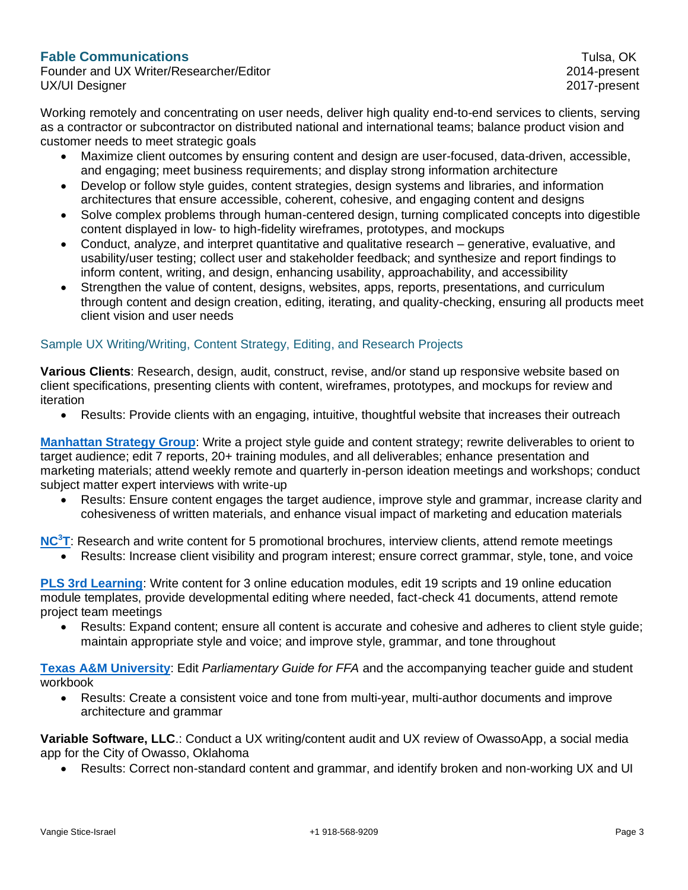#### **Fable Communications** Tulsa, OK

Founder and UX Writer/Researcher/Editor 2014-present UX/UI Designer 2017-present

Working remotely and concentrating on user needs, deliver high quality end-to-end services to clients, serving as a contractor or subcontractor on distributed national and international teams; balance product vision and customer needs to meet strategic goals

- Maximize client outcomes by ensuring content and design are user-focused, data-driven, accessible, and engaging; meet business requirements; and display strong information architecture
- Develop or follow style guides, content strategies, design systems and libraries, and information architectures that ensure accessible, coherent, cohesive, and engaging content and designs
- Solve complex problems through human-centered design, turning complicated concepts into digestible content displayed in low- to high-fidelity wireframes, prototypes, and mockups
- Conduct, analyze, and interpret quantitative and qualitative research generative, evaluative, and usability/user testing; collect user and stakeholder feedback; and synthesize and report findings to inform content, writing, and design, enhancing usability, approachability, and accessibility
- Strengthen the value of content, designs, websites, apps, reports, presentations, and curriculum through content and design creation, editing, iterating, and quality-checking, ensuring all products meet client vision and user needs

#### Sample UX Writing/Writing, Content Strategy, Editing, and Research Projects

**Various Clients**: Research, design, audit, construct, revise, and/or stand up responsive website based on client specifications, presenting clients with content, wireframes, prototypes, and mockups for review and iteration

• Results: Provide clients with an engaging, intuitive, thoughtful website that increases their outreach

**[Manhattan Strategy Group](http://www.manhattanstrategy.com/)**: Write a project style guide and content strategy; rewrite deliverables to orient to target audience; edit 7 reports, 20+ training modules, and all deliverables; enhance presentation and marketing materials; attend weekly remote and quarterly in-person ideation meetings and workshops; conduct subject matter expert interviews with write-up

• Results: Ensure content engages the target audience, improve style and grammar, increase clarity and cohesiveness of written materials, and enhance visual impact of marketing and education materials

**[NC](https://nc3t.com/)<sup>3</sup>T**: Research and write content for 5 promotional brochures, interview clients, attend remote meetings

• Results: Increase client visibility and program interest; ensure correct grammar, style, tone, and voice

**PLS 3rd [Learning](https://pls3rdlearning.com/)**: Write content for 3 online education modules, edit 19 scripts and 19 online education module templates, provide developmental editing where needed, fact-check 41 documents, attend remote project team meetings

• Results: Expand content; ensure all content is accurate and cohesive and adheres to client style guide; maintain appropriate style and voice; and improve style, grammar, and tone throughout

**[Texas A&M University](https://www.tamu.edu/)**: Edit *Parliamentary Guide for FFA* and the accompanying teacher guide and student workbook

• Results: Create a consistent voice and tone from multi-year, multi-author documents and improve architecture and grammar

**Variable Software, LLC**.: Conduct a UX writing/content audit and UX review of OwassoApp, a social media app for the City of Owasso, Oklahoma

• Results: Correct non-standard content and grammar, and identify broken and non-working UX and UI